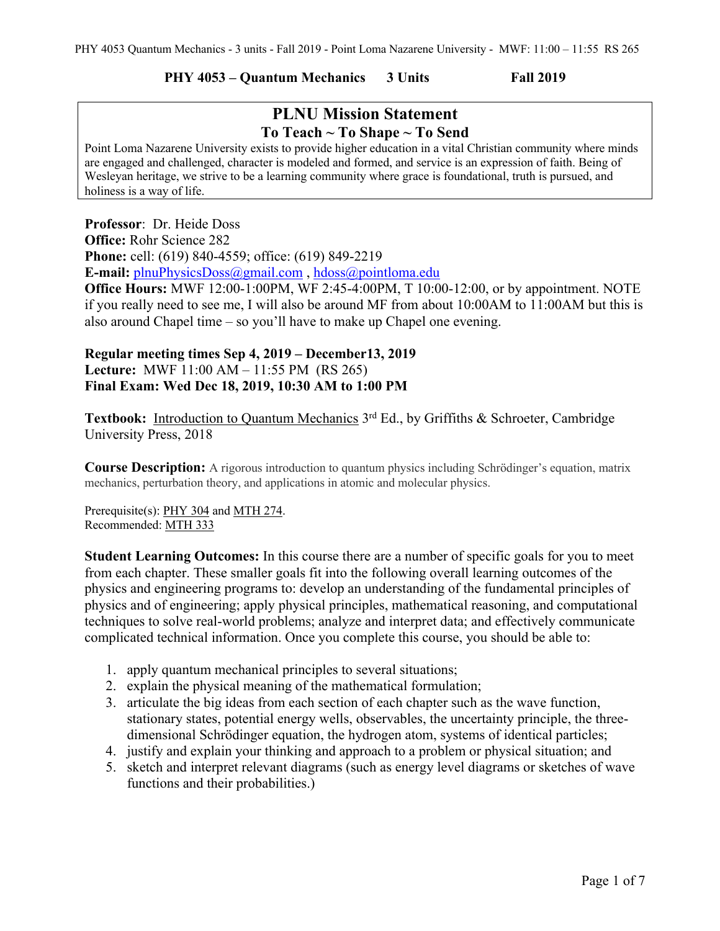### **PHY 4053 – Quantum Mechanics 3 Units Fall 2019**

# **PLNU Mission Statement To Teach ~ To Shape ~ To Send**

Point Loma Nazarene University exists to provide higher education in a vital Christian community where minds are engaged and challenged, character is modeled and formed, and service is an expression of faith. Being of Wesleyan heritage, we strive to be a learning community where grace is foundational, truth is pursued, and holiness is a way of life.

**Professor**: Dr. Heide Doss **Office:** Rohr Science 282 **Phone:** cell: (619) 840-4559; office: (619) 849-2219 **E-mail:** plnuPhysicsDoss@gmail.com , hdoss@pointloma.edu **Office Hours:** MWF 12:00-1:00PM, WF 2:45-4:00PM, T 10:00-12:00, or by appointment. NOTE

if you really need to see me, I will also be around MF from about 10:00AM to 11:00AM but this is also around Chapel time – so you'll have to make up Chapel one evening.

# **Regular meeting times Sep 4, 2019 – December13, 2019 Lecture:** MWF 11:00 AM – 11:55 PM (RS 265) **Final Exam: Wed Dec 18, 2019, 10:30 AM to 1:00 PM**

Textbook: Introduction to Quantum Mechanics 3<sup>rd</sup> Ed., by Griffiths & Schroeter, Cambridge University Press, 2018

**Course Description:** A rigorous introduction to quantum physics including Schrödinger's equation, matrix mechanics, perturbation theory, and applications in atomic and molecular physics.

Prerequisite(s): PHY 304 and MTH 274. Recommended: MTH 333

**Student Learning Outcomes:** In this course there are a number of specific goals for you to meet from each chapter. These smaller goals fit into the following overall learning outcomes of the physics and engineering programs to: develop an understanding of the fundamental principles of physics and of engineering; apply physical principles, mathematical reasoning, and computational techniques to solve real-world problems; analyze and interpret data; and effectively communicate complicated technical information. Once you complete this course, you should be able to:

- 1. apply quantum mechanical principles to several situations;
- 2. explain the physical meaning of the mathematical formulation;
- 3. articulate the big ideas from each section of each chapter such as the wave function, stationary states, potential energy wells, observables, the uncertainty principle, the threedimensional Schrödinger equation, the hydrogen atom, systems of identical particles;
- 4. justify and explain your thinking and approach to a problem or physical situation; and
- 5. sketch and interpret relevant diagrams (such as energy level diagrams or sketches of wave functions and their probabilities.)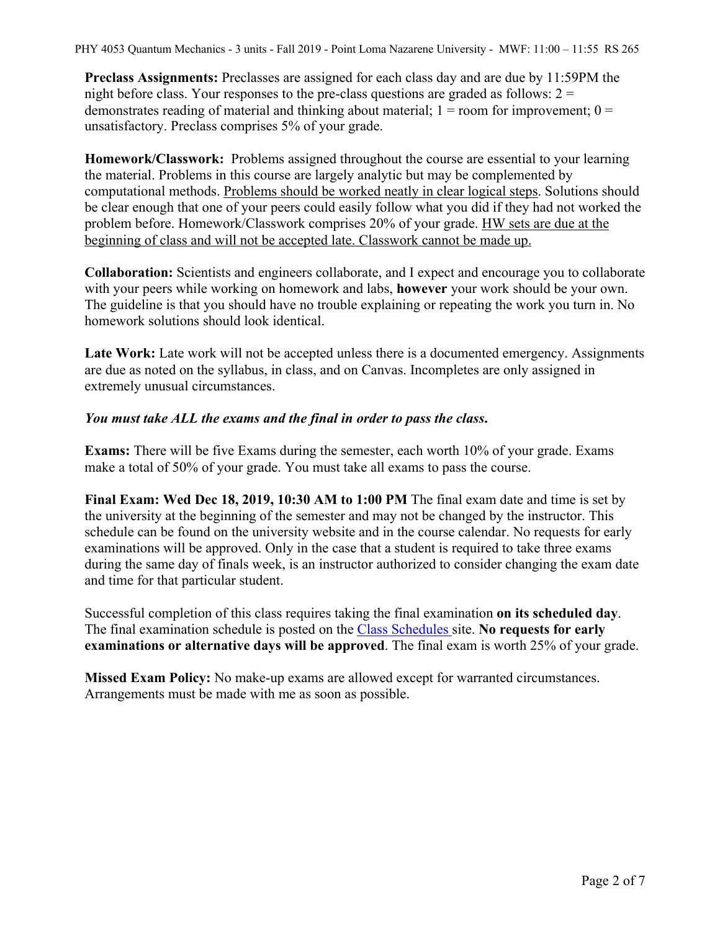PHY 4053 Quantum Mechanics - 3 units - Fall 2019 - Point Loma Nazarene University - MWF: 11:00 – 11:55 RS 265

**Preclass Assignments:** Preclasses are assigned for each class day and are due by 11:59PM the night before class. Your responses to the pre-class questions are graded as follows:  $2 =$ demonstrates reading of material and thinking about material;  $1 =$  room for improvement;  $0 =$ unsatisfactory. Preclass comprises 5% of your grade.

**Homework/Classwork:** Problems assigned throughout the course are essential to your learning the material. Problems in this course are largely analytic but may be complemented by computational methods. Problems should be worked neatly in clear logical steps. Solutions should be clear enough that one of your peers could easily follow what you did if they had not worked the problem before. Homework/Classwork comprises 20% of your grade. HW sets are due at the beginning of class and will not be accepted late. Classwork cannot be made up.

**Collaboration:** Scientists and engineers collaborate, and I expect and encourage you to collaborate with your peers while working on homework and labs, **however** your work should be your own. The guideline is that you should have no trouble explaining or repeating the work you turn in. No homework solutions should look identical.

Late Work: Late work will not be accepted unless there is a documented emergency. Assignments are due as noted on the syllabus, in class, and on Canvas. Incompletes are only assigned in extremely unusual circumstances.

#### *You must take ALL the exams and the final in order to pass the class***.**

**Exams:** There will be five Exams during the semester, each worth 10% of your grade. Exams make a total of 50% of your grade. You must take all exams to pass the course.

**Final Exam: Wed Dec 18, 2019, 10:30 AM to 1:00 PM** The final exam date and time is set by the university at the beginning of the semester and may not be changed by the instructor. This schedule can be found on the university website and in the course calendar. No requests for early examinations will be approved. Only in the case that a student is required to take three exams during the same day of finals week, is an instructor authorized to consider changing the exam date and time for that particular student.

Successful completion of this class requires taking the final examination **on its scheduled day**. The final examination schedule is posted on the Class Schedules site. **No requests for early examinations or alternative days will be approved**. The final exam is worth 25% of your grade.

**Missed Exam Policy:** No make-up exams are allowed except for warranted circumstances. Arrangements must be made with me as soon as possible.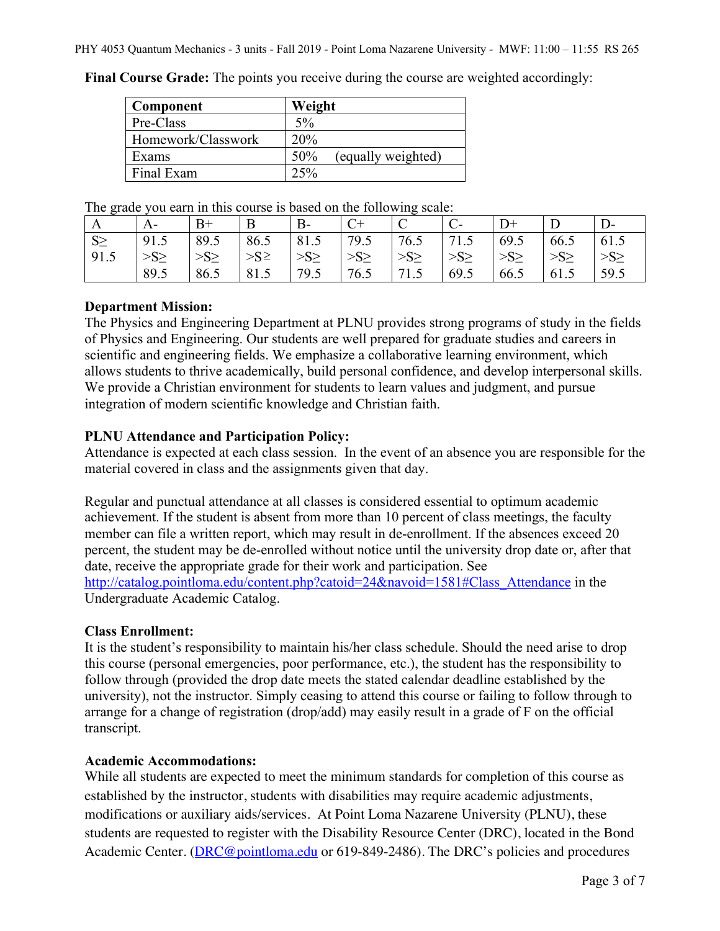| Component          | Weight                    |
|--------------------|---------------------------|
| Pre-Class          | 5%                        |
| Homework/Classwork | 20%                       |
| <b>Exams</b>       | (equally weighted)<br>50% |
| Final Exam         | 25%                       |

**Final Course Grade:** The points you receive during the course are weighted accordingly:

The grade you earn in this course is based on the following scale:

| A        | А-        | B+        | B          | $B-$     |           | ◡         |           | $D+$      |           | D-        |
|----------|-----------|-----------|------------|----------|-----------|-----------|-----------|-----------|-----------|-----------|
| $S \geq$ | 91.5      | 89.5      | 86.5       | 81.5     | 79.5      | 76.5      | 71.5      | 69.5      | 66.5      | 61.5      |
| 91.5     | $>S \geq$ | $>S \geq$ | $>S^{\ge}$ | $>S\geq$ | $>S \geq$ | $>S \geq$ | $>S \geq$ | $>S \geq$ | $>S \geq$ | $>S \geq$ |
|          | 89.5      | 86.5      | 81.5       | 79.5     | 76.5      | 71.5      | 69.5      | 66.5      | 61.5      | 59.5      |

### **Department Mission:**

The Physics and Engineering Department at PLNU provides strong programs of study in the fields of Physics and Engineering. Our students are well prepared for graduate studies and careers in scientific and engineering fields. We emphasize a collaborative learning environment, which allows students to thrive academically, build personal confidence, and develop interpersonal skills. We provide a Christian environment for students to learn values and judgment, and pursue integration of modern scientific knowledge and Christian faith.

### **PLNU Attendance and Participation Policy:**

Attendance is expected at each class session. In the event of an absence you are responsible for the material covered in class and the assignments given that day.

Regular and punctual attendance at all classes is considered essential to optimum academic achievement. If the student is absent from more than 10 percent of class meetings, the faculty member can file a written report, which may result in de-enrollment. If the absences exceed 20 percent, the student may be de-enrolled without notice until the university drop date or, after that date, receive the appropriate grade for their work and participation. See http://catalog.pointloma.edu/content.php?catoid=24&navoid=1581#Class\_Attendance in the Undergraduate Academic Catalog.

#### **Class Enrollment:**

It is the student's responsibility to maintain his/her class schedule. Should the need arise to drop this course (personal emergencies, poor performance, etc.), the student has the responsibility to follow through (provided the drop date meets the stated calendar deadline established by the university), not the instructor. Simply ceasing to attend this course or failing to follow through to arrange for a change of registration (drop/add) may easily result in a grade of F on the official transcript.

#### **Academic Accommodations:**

While all students are expected to meet the minimum standards for completion of this course as established by the instructor, students with disabilities may require academic adjustments, modifications or auxiliary aids/services. At Point Loma Nazarene University (PLNU), these students are requested to register with the Disability Resource Center (DRC), located in the Bond Academic Center. (DRC@pointloma.edu or 619-849-2486). The DRC's policies and procedures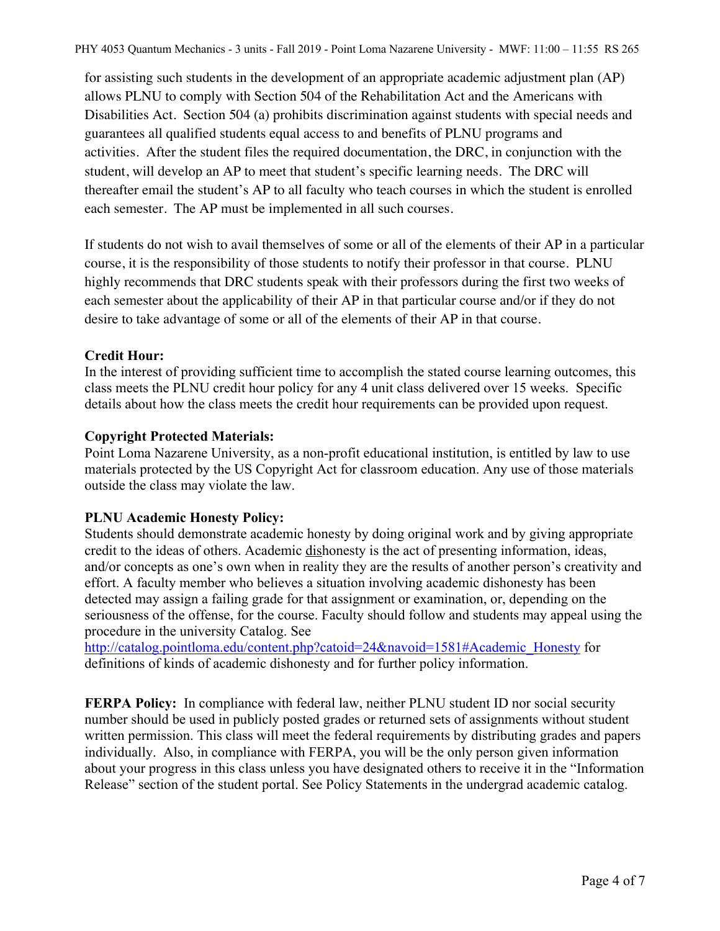for assisting such students in the development of an appropriate academic adjustment plan (AP) allows PLNU to comply with Section 504 of the Rehabilitation Act and the Americans with Disabilities Act. Section 504 (a) prohibits discrimination against students with special needs and guarantees all qualified students equal access to and benefits of PLNU programs and activities. After the student files the required documentation, the DRC, in conjunction with the student, will develop an AP to meet that student's specific learning needs. The DRC will thereafter email the student's AP to all faculty who teach courses in which the student is enrolled each semester. The AP must be implemented in all such courses.

If students do not wish to avail themselves of some or all of the elements of their AP in a particular course, it is the responsibility of those students to notify their professor in that course. PLNU highly recommends that DRC students speak with their professors during the first two weeks of each semester about the applicability of their AP in that particular course and/or if they do not desire to take advantage of some or all of the elements of their AP in that course.

# **Credit Hour:**

In the interest of providing sufficient time to accomplish the stated course learning outcomes, this class meets the PLNU credit hour policy for any 4 unit class delivered over 15 weeks. Specific details about how the class meets the credit hour requirements can be provided upon request.

# **Copyright Protected Materials:**

Point Loma Nazarene University, as a non-profit educational institution, is entitled by law to use materials protected by the US Copyright Act for classroom education. Any use of those materials outside the class may violate the law.

### **PLNU Academic Honesty Policy:**

Students should demonstrate academic honesty by doing original work and by giving appropriate credit to the ideas of others. Academic dishonesty is the act of presenting information, ideas, and/or concepts as one's own when in reality they are the results of another person's creativity and effort. A faculty member who believes a situation involving academic dishonesty has been detected may assign a failing grade for that assignment or examination, or, depending on the seriousness of the offense, for the course. Faculty should follow and students may appeal using the procedure in the university Catalog. See

http://catalog.pointloma.edu/content.php?catoid=24&navoid=1581#Academic\_Honesty for definitions of kinds of academic dishonesty and for further policy information.

**FERPA Policy:** In compliance with federal law, neither PLNU student ID nor social security number should be used in publicly posted grades or returned sets of assignments without student written permission. This class will meet the federal requirements by distributing grades and papers individually. Also, in compliance with FERPA, you will be the only person given information about your progress in this class unless you have designated others to receive it in the "Information Release" section of the student portal. See Policy Statements in the undergrad academic catalog.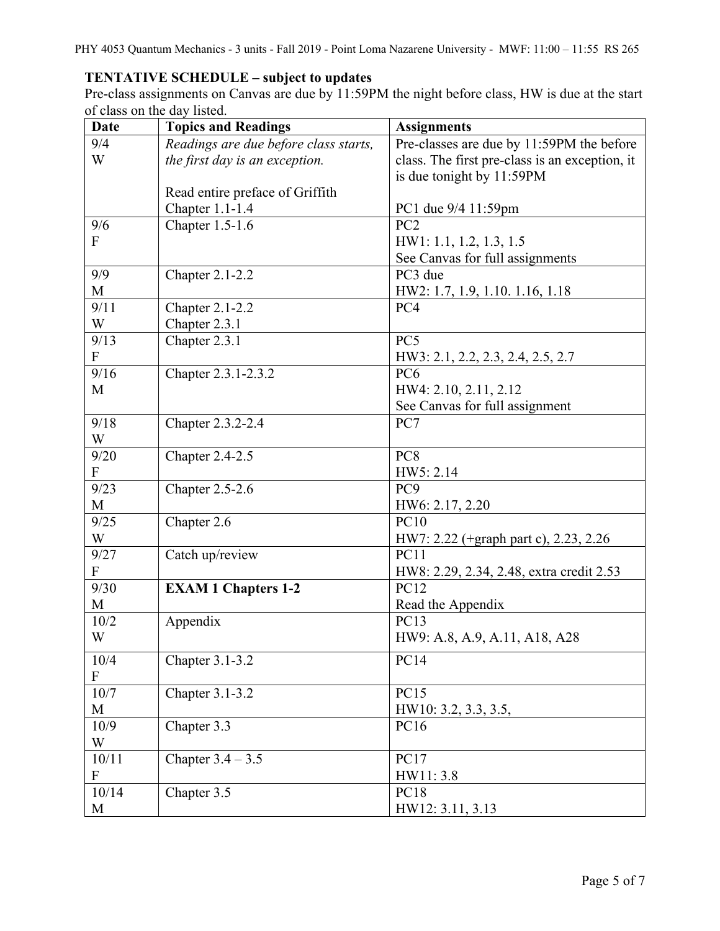# **TENTATIVE SCHEDULE – subject to updates**

Pre-class assignments on Canvas are due by 11:59PM the night before class, HW is due at the start of class on the day listed.

| <b>Date</b>               | <b>Topics and Readings</b>            | <b>Assignments</b>                             |
|---------------------------|---------------------------------------|------------------------------------------------|
| 9/4                       | Readings are due before class starts, | Pre-classes are due by 11:59PM the before      |
| W                         | the first day is an exception.        | class. The first pre-class is an exception, it |
|                           |                                       | is due tonight by 11:59PM                      |
|                           | Read entire preface of Griffith       |                                                |
|                           | Chapter 1.1-1.4                       | PC1 due 9/4 11:59pm                            |
| 9/6                       | Chapter 1.5-1.6                       | PC <sub>2</sub>                                |
| $\mathbf{F}$              |                                       | HW1: 1.1, 1.2, 1.3, 1.5                        |
|                           |                                       | See Canvas for full assignments                |
| 9/9                       | Chapter 2.1-2.2                       | PC3 due                                        |
| M                         |                                       | HW2: 1.7, 1.9, 1.10. 1.16, 1.18                |
| 9/11                      | <b>Chapter 2.1-2.2</b>                | PC4                                            |
| W                         | Chapter 2.3.1                         |                                                |
| 9/13                      | Chapter 2.3.1                         | PC5                                            |
| ${\bf F}$                 |                                       | HW3: 2.1, 2.2, 2.3, 2.4, 2.5, 2.7              |
| 9/16                      | Chapter 2.3.1-2.3.2                   | PC <sub>6</sub>                                |
| M                         |                                       | HW4: 2.10, 2.11, 2.12                          |
|                           |                                       | See Canvas for full assignment                 |
| 9/18                      | Chapter 2.3.2-2.4                     | PC7                                            |
| W                         |                                       |                                                |
| 9/20                      | Chapter 2.4-2.5                       | PC <sub>8</sub>                                |
| $\boldsymbol{\mathrm{F}}$ |                                       | HW5: 2.14                                      |
| 9/23                      | <b>Chapter 2.5-2.6</b>                | PC <sub>9</sub>                                |
| M                         |                                       | HW6: 2.17, 2.20                                |
| 9/25                      | Chapter 2.6                           | <b>PC10</b>                                    |
| W                         |                                       | HW7: 2.22 (+graph part c), 2.23, 2.26          |
| 9/27                      | Catch up/review                       | PC11                                           |
| $\boldsymbol{\mathrm{F}}$ |                                       | HW8: 2.29, 2.34, 2.48, extra credit 2.53       |
| 9/30                      | <b>EXAM 1 Chapters 1-2</b>            | <b>PC12</b>                                    |
| M                         |                                       | Read the Appendix                              |
| 10/2                      | Appendix                              | PC13                                           |
| W                         |                                       | HW9: A.8, A.9, A.11, A18, A28                  |
| 10/4                      | Chapter 3.1-3.2                       | <b>PC14</b>                                    |
| $\mathbf F$               |                                       |                                                |
| 10/7                      | Chapter 3.1-3.2                       | <b>PC15</b>                                    |
| M                         |                                       | HW10: 3.2, 3.3, 3.5,                           |
| 10/9                      | Chapter 3.3                           | PC16                                           |
| W                         |                                       |                                                |
| 10/11                     | Chapter $3.4 - 3.5$                   | <b>PC17</b>                                    |
| $\boldsymbol{\mathrm{F}}$ |                                       | HW11: 3.8                                      |
| 10/14                     | Chapter 3.5                           | <b>PC18</b>                                    |
| M                         |                                       | HW12: 3.11, 3.13                               |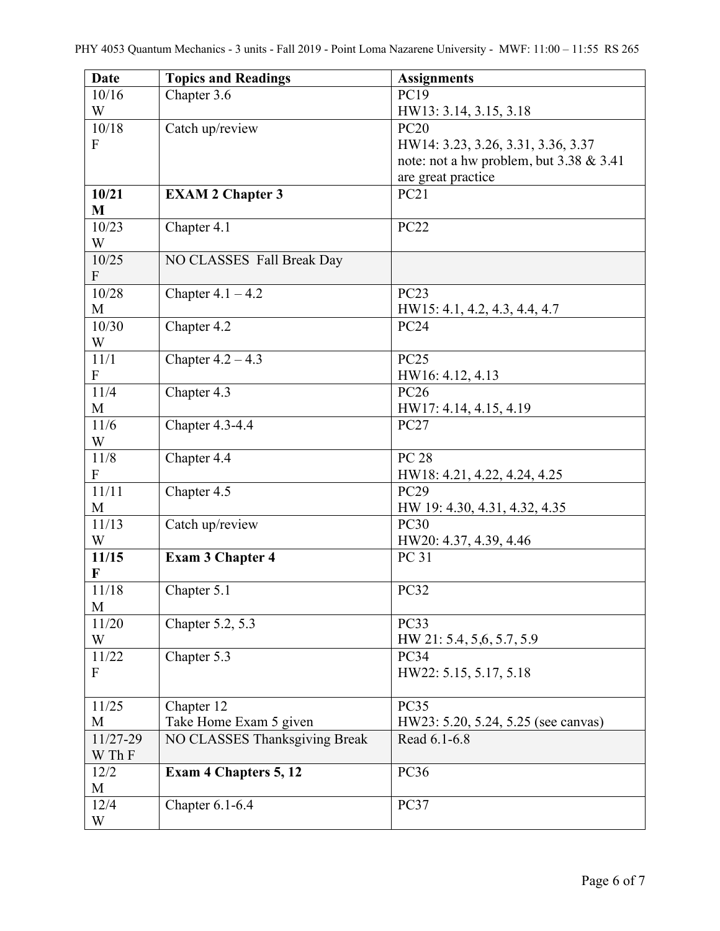| <b>Date</b>               | <b>Topics and Readings</b>    | <b>Assignments</b>                         |
|---------------------------|-------------------------------|--------------------------------------------|
| 10/16                     | Chapter 3.6                   | PC19                                       |
| W                         |                               | HW13: 3.14, 3.15, 3.18                     |
| 10/18                     | Catch up/review               | <b>PC20</b>                                |
| $\mathbf{F}$              |                               | HW14: 3.23, 3.26, 3.31, 3.36, 3.37         |
|                           |                               | note: not a hw problem, but $3.38 \& 3.41$ |
|                           |                               | are great practice                         |
| 10/21                     | <b>EXAM 2 Chapter 3</b>       | PC21                                       |
| M                         |                               |                                            |
| 10/23                     | Chapter 4.1                   | <b>PC22</b>                                |
| W                         |                               |                                            |
| 10/25                     | NO CLASSES Fall Break Day     |                                            |
| $\mathbf{F}$              |                               |                                            |
| 10/28                     | Chapter $4.1 - 4.2$           | <b>PC23</b>                                |
| M                         |                               | HW15: 4.1, 4.2, 4.3, 4.4, 4.7              |
| 10/30                     | Chapter 4.2                   | <b>PC24</b>                                |
| W                         |                               |                                            |
| 11/1                      | Chapter $4.2 - 4.3$           | <b>PC25</b>                                |
| $\mathbf{F}$              |                               | HW16: 4.12, 4.13                           |
| 11/4                      | Chapter 4.3                   | <b>PC26</b>                                |
| M                         |                               | HW17: 4.14, 4.15, 4.19                     |
| 11/6                      | Chapter 4.3-4.4               | <b>PC27</b>                                |
| W                         |                               |                                            |
| 11/8                      | Chapter 4.4                   | <b>PC 28</b>                               |
| $\mathbf{F}$              |                               | HW18: 4.21, 4.22, 4.24, 4.25               |
| 11/11                     | Chapter 4.5                   | <b>PC29</b>                                |
| M                         |                               | HW 19: 4.30, 4.31, 4.32, 4.35              |
| 11/13                     | Catch up/review               | <b>PC30</b>                                |
| W                         |                               | HW20: 4.37, 4.39, 4.46                     |
| 11/15                     | <b>Exam 3 Chapter 4</b>       | PC 31                                      |
| $\mathbf F$               |                               |                                            |
| 11/18                     | Chapter 5.1                   | PC32                                       |
| M                         |                               |                                            |
| 11/20                     | Chapter 5.2, 5.3              | PC33                                       |
| W                         |                               | HW 21: 5.4, 5, 6, 5.7, 5.9                 |
| 11/22                     | Chapter 5.3                   | <b>PC34</b>                                |
| $\boldsymbol{\mathrm{F}}$ |                               | HW22: 5.15, 5.17, 5.18                     |
|                           |                               |                                            |
| 11/25                     | Chapter 12                    | <b>PC35</b>                                |
| M                         | Take Home Exam 5 given        | HW23: 5.20, 5.24, 5.25 (see canvas)        |
| 11/27-29                  | NO CLASSES Thanksgiving Break | Read 6.1-6.8                               |
| W Th F                    |                               |                                            |
| 12/2                      | <b>Exam 4 Chapters 5, 12</b>  | <b>PC36</b>                                |
| M                         |                               |                                            |
| 12/4                      | Chapter 6.1-6.4               | PC37                                       |
| W                         |                               |                                            |